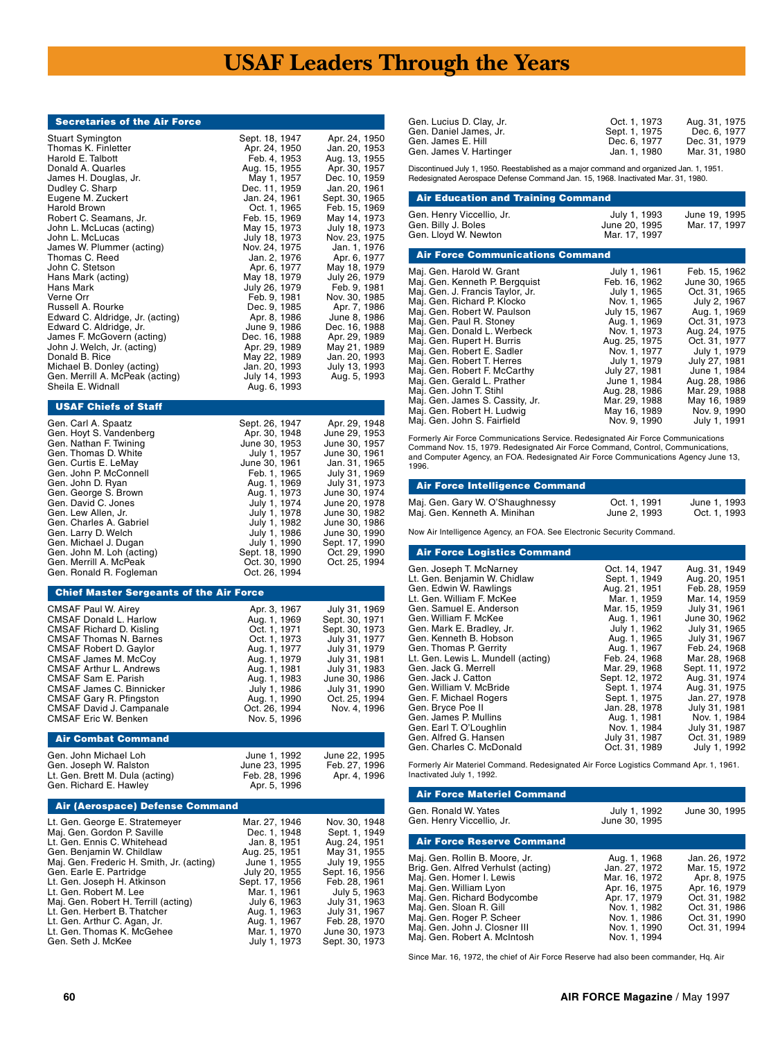# **USAF Leaders Through the Years**

#### Secretaries of the Air Force

| Gen. Carl A. Spaatz       | Sept. 26, 1947 | Apr. 29, 1948  |
|---------------------------|----------------|----------------|
| Gen. Hoyt S. Vandenberg   | Apr. 30, 1948  | June 29, 1953  |
| Gen. Nathan F. Twining    | June 30, 1953  | June 30, 1957  |
| Gen. Thomas D. White      | July 1, 1957   | June 30, 1961  |
| Gen. Curtis E. LeMav      | June 30, 1961  | Jan. 31, 1965  |
| Gen. John P. McConnell    | Feb. 1. 1965   | July 31, 1969  |
| Gen. John D. Ryan         | Aug. 1, 1969   | July 31, 1973  |
| Gen. George S. Brown      | Aug. 1, 1973   | June 30, 1974  |
| Gen. David C. Jones       | July 1, 1974   | June 20, 1978  |
| Gen. Lew Allen. Jr.       | July 1, 1978   | June 30, 1982  |
| Gen. Charles A. Gabriel   | July 1, 1982   | June 30, 1986  |
| Gen. Larry D. Welch       | July 1, 1986   | June 30, 1990  |
| Gen. Michael J. Dugan     | July 1, 1990   | Sept. 17, 1990 |
| Gen. John M. Loh (acting) | Sept. 18, 1990 | Oct. 29. 1990  |
| Gen. Merrill A. McPeak    | Oct. 30, 1990  | Oct. 25, 1994  |
| Gen. Ronald R. Fogleman   | Oct. 26, 1994  |                |

#### Chief Master Sergeants of the Air Force

| Apr. 3, 1967<br>Aug. 1, 1969<br>Oct. 1, 1971<br>Oct. 1, 1973<br>Aug. 1, 1977<br>Aug. 1, 1979<br>Aug. 1, 1981<br>Aug. 1, 1983<br>July 1, 1986<br>Aug. 1, 1990 | July 31, 1969<br>Sept. 30, 1971<br>Sept. 30, 1973<br>July 31, 1977<br>July 31, 1979<br>July 31, 1981<br>July 31, 1983<br>June 30, 1986<br>July 31, 1990<br>Oct. 25, 1994 |
|--------------------------------------------------------------------------------------------------------------------------------------------------------------|--------------------------------------------------------------------------------------------------------------------------------------------------------------------------|
| Oct. 26, 1994<br>Nov. 5. 1996                                                                                                                                | Nov. 4. 1996                                                                                                                                                             |
|                                                                                                                                                              |                                                                                                                                                                          |

#### Air Combat Command

| Gen. John Michael Loh           | June 1, 1992  | June 22, 1995 |
|---------------------------------|---------------|---------------|
| Gen. Joseph W. Ralston          | June 23, 1995 | Feb. 27. 1996 |
| Lt. Gen. Brett M. Dula (acting) | Feb. 28, 1996 | Apr. 4, 1996  |
| Gen. Richard E. Hawley          | Apr. 5, 1996  |               |

#### Air (Aerospace) Defense Command

| Lt. Gen. George E. Stratemeyer            | Mar. 27, 1946  | Nov. 30, 1948  |
|-------------------------------------------|----------------|----------------|
| Maj. Gen. Gordon P. Saville               | Dec. 1, 1948   | Sept. 1, 1949  |
| Lt. Gen. Ennis C. Whitehead               | Jan. 8, 1951   | Aug. 24, 1951  |
| Gen. Benjamin W. Childlaw                 | Aug. 25, 1951  | May 31, 1955   |
| Maj. Gen. Frederic H. Smith, Jr. (acting) | June 1, 1955   | July 19, 1955  |
| Gen. Earle E. Partridge                   | July 20, 1955  | Sept. 16, 1956 |
| Lt. Gen. Joseph H. Atkinson               | Sept. 17, 1956 | Feb. 28, 1961  |
| Lt. Gen. Robert M. Lee                    | Mar. 1, 1961   | July 5, 1963   |
| Maj. Gen. Robert H. Terrill (acting)      | July 6, 1963   | July 31, 1963  |
| Lt. Gen. Herbert B. Thatcher              | Aug. 1, 1963   | July 31, 1967  |
| Lt. Gen. Arthur C. Agan, Jr.              | Aug. 1, 1967   | Feb. 28, 1970  |
| Lt. Gen. Thomas K. McGehee                | Mar. 1, 1970   | June 30, 1973  |
| Gen. Seth J. McKee                        | July 1, 1973   | Sept. 30, 1973 |

| Gen. Lucius D. Clay, Jr. | Oct. 1. 1973  | Aug. 31, 1975 |
|--------------------------|---------------|---------------|
| Gen. Daniel James. Jr.   | Sept. 1, 1975 | Dec. 6, 1977  |
| Gen. James E. Hill       | Dec. 6, 1977  | Dec. 31, 1979 |
| Gen. James V. Hartinger  | Jan. 1. 1980  | Mar. 31. 1980 |

Discontinued July 1, 1950. Reestablished as a major command and organized Jan. 1, 1951. Redesignated Aerospace Defense Command Jan. 15, 1968. Inactivated Mar. 31, 1980.

| <b>Air Education and Training Command</b>                                |                                                |                                |
|--------------------------------------------------------------------------|------------------------------------------------|--------------------------------|
| Gen. Henry Viccellio, Jr.<br>Gen. Billy J. Boles<br>Gen. Lloyd W. Newton | July 1, 1993<br>June 20, 1995<br>Mar. 17, 1997 | June 19, 1995<br>Mar. 17, 1997 |

| <b>Air Force Communications Command</b> |               |               |
|-----------------------------------------|---------------|---------------|
| Maj. Gen. Harold W. Grant               | July 1, 1961  | Feb. 15, 1962 |
| Maj. Gen. Kenneth P. Bergguist          | Feb. 16, 1962 | June 30, 1965 |
| Maj. Gen. J. Francis Taylor, Jr.        | July 1, 1965  | Oct. 31, 1965 |
| Maj. Gen. Richard P. Klocko             | Nov. 1, 1965  | July 2, 1967  |
| Maj. Gen. Robert W. Paulson             | July 15, 1967 | Aug. 1, 1969  |
| Maj. Gen. Paul R. Stoney                | Aug. 1, 1969  | Oct. 31, 1973 |
| Maj. Gen. Donald L. Werbeck             | Nov. 1, 1973  | Aug. 24, 1975 |
| Maj. Gen. Rupert H. Burris              | Aug. 25, 1975 | Oct. 31. 1977 |
| Maj. Gen. Robert E. Sadler              | Nov. 1, 1977  | July 1, 1979  |
| Maj. Gen. Robert T. Herres              | July 1, 1979  | July 27, 1981 |
| Maj. Gen. Robert F. McCarthy            | July 27, 1981 | June 1, 1984  |
| Maj. Gen. Gerald L. Prather             | June 1, 1984  | Aug. 28, 1986 |
| Maj. Gen. John T. Stihl                 | Aug. 28, 1986 | Mar. 29. 1988 |
| Maj. Gen. James S. Cassity, Jr.         | Mar. 29. 1988 | May 16, 1989  |
| Maj. Gen. Robert H. Ludwig              | May 16, 1989  | Nov. 9. 1990  |
| Maj. Gen. John S. Fairfield             | Nov. 9, 1990  | July 1, 1991  |

Formerly Air Force Communications Service. Redesignated Air Force Communications<br>Command Nov. 15, 1979. Redesignated Air Force Command, Control, Communications,<br>and Computer Agency, an FOA. Redesignated Air Force Communica 1996.

## Air Force Intelligence Command

| Maj. Gen. Gary W. O'Shaughnessy | Oct. 1, 1991 | June 1, 1993 |
|---------------------------------|--------------|--------------|
| Maj. Gen. Kenneth A. Minihan    | June 2, 1993 | Oct. 1, 1993 |

Now Air Intelligence Agency, an FOA. See Electronic Security Command.

#### Air Force Logistics Command

| Gen. Joseph T. McNarney            | Oct. 14, 1947  | Aug. 31, 1949  |
|------------------------------------|----------------|----------------|
| Lt. Gen. Benjamin W. Chidlaw       | Sept. 1, 1949  | Aug. 20, 1951  |
| Gen. Edwin W. Rawlings             | Aug. 21, 1951  | Feb. 28, 1959  |
| Lt. Gen. William F. McKee          | Mar. 1, 1959   | Mar. 14, 1959  |
| Gen. Samuel E. Anderson            | Mar. 15, 1959  | July 31, 1961  |
| Gen. William F. McKee              | Aug. 1, 1961   | June 30, 1962  |
| Gen. Mark E. Bradley, Jr.          | July 1, 1962   | July 31, 1965  |
| Gen. Kenneth B. Hobson             | Aug. 1, 1965   | July 31, 1967  |
| Gen. Thomas P. Gerrity             | Aug. 1, 1967   | Feb. 24, 1968  |
| Lt. Gen. Lewis L. Mundell (acting) | Feb. 24, 1968  | Mar. 28, 1968  |
| Gen. Jack G. Merrell               | Mar. 29. 1968  | Sept. 11, 1972 |
| Gen. Jack J. Catton                | Sept. 12, 1972 | Aug. 31, 1974  |
| Gen. William V. McBride            | Sept. 1, 1974  | Aug. 31, 1975  |
| Gen. F. Michael Rogers             | Sept. 1, 1975  | Jan. 27, 1978  |
| Gen. Bryce Poe II                  | Jan. 28, 1978  | July 31, 1981  |
| Gen. James P. Mullins              | Aug. 1, 1981   | Nov. 1, 1984   |
| Gen. Earl T. O'Loughlin            | Nov. 1, 1984   | July 31, 1987  |
| Gen. Alfred G. Hansen              | July 31, 1987  | Oct. 31, 1989  |
| Gen. Charles C. McDonald           | Oct. 31. 1989  | July 1, 1992   |
|                                    |                |                |

Formerly Air Materiel Command. Redesignated Air Force Logistics Command Apr. 1, 1961. Inactivated July 1, 1992.

| <b>Air Force Materiel Command</b>                                                                                                                                                                                                                                                   |                                                                                                                                                  |                                                                                                                                     |
|-------------------------------------------------------------------------------------------------------------------------------------------------------------------------------------------------------------------------------------------------------------------------------------|--------------------------------------------------------------------------------------------------------------------------------------------------|-------------------------------------------------------------------------------------------------------------------------------------|
| Gen. Ronald W. Yates<br>Gen. Henry Viccellio, Jr.                                                                                                                                                                                                                                   | July 1, 1992<br>June 30, 1995                                                                                                                    | June 30, 1995                                                                                                                       |
| <b>Air Force Reserve Command</b>                                                                                                                                                                                                                                                    |                                                                                                                                                  |                                                                                                                                     |
| Maj. Gen. Rollin B. Moore, Jr.<br>Brig. Gen. Alfred Verhulst (acting)<br>Maj. Gen. Homer I. Lewis<br>Maj. Gen. William Lyon<br>Maj. Gen. Richard Bodycombe<br>Maj. Gen. Sloan R. Gill<br>Maj. Gen. Roger P. Scheer<br>Maj. Gen. John J. Closner III<br>Maj. Gen. Robert A. McIntosh | Aug. 1, 1968<br>Jan. 27, 1972<br>Mar. 16, 1972<br>Apr. 16, 1975<br>Apr. 17, 1979<br>Nov. 1. 1982<br>Nov. 1. 1986<br>Nov. 1, 1990<br>Nov. 1. 1994 | Jan. 26, 1972<br>Mar. 15, 1972<br>Apr. 8, 1975<br>Apr. 16, 1979<br>Oct. 31, 1982<br>Oct. 31, 1986<br>Oct. 31, 1990<br>Oct. 31, 1994 |

Since Mar. 16, 1972, the chief of Air Force Reserve had also been commander, Hq. Air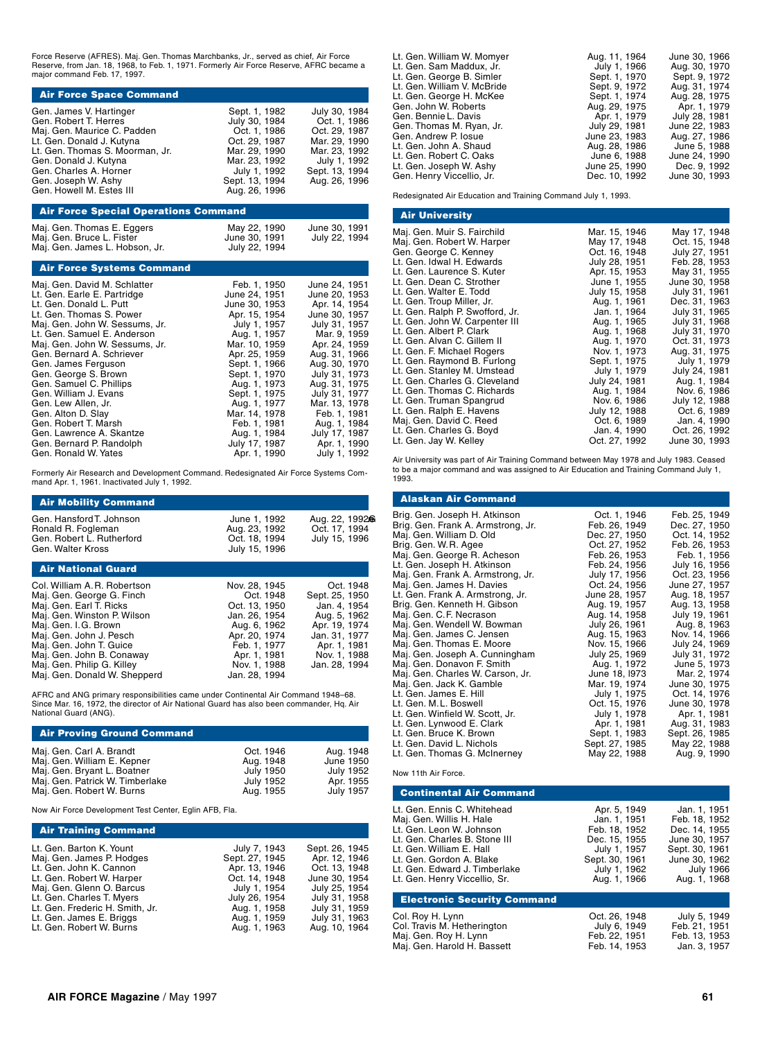Force Reserve (AFRES). Maj. Gen. Thomas Marchbanks, Jr., served as chief, Air Force Reserve, from Jan. 18, 1968, to Feb. 1, 1971. Formerly Air Force Reserve, AFRC became a major command Feb. 17, 1997.

| Gen. James V. Hartinger<br>Gen. Robert T. Herres<br>Maj. Gen. Maurice C. Padden<br>Lt. Gen. Donald J. Kutyna<br>Lt. Gen. Thomas S. Moorman, Jr.<br>Gen. Donald J. Kutyna<br>Gen. Charles A. Horner<br>Gen. Joseph W. Ashy<br>Gen. Howell M. Estes III | Sept. 1, 1982<br>July 30, 1984<br>Oct. 1, 1986<br>Oct. 29. 1987<br>Mar. 29, 1990<br>Mar. 23, 1992<br>July 1, 1992<br>Sept. 13, 1994<br>Aug. 26, 1996 | July 30, 1984<br>Oct. 1, 1986<br>Oct. 29. 1987<br>Mar. 29, 1990<br>Mar. 23, 1992<br>July 1, 1992<br>Sept. 13, 1994<br>Aug. 26, 1996 |
|-------------------------------------------------------------------------------------------------------------------------------------------------------------------------------------------------------------------------------------------------------|------------------------------------------------------------------------------------------------------------------------------------------------------|-------------------------------------------------------------------------------------------------------------------------------------|

# Air Force Special Operations Command Maj. Gen. Thomas E. Eggers May 22, 1990 June 30, 1991 Maj. Gen. Bruce L. Fister June 30, 1991 July 22, 1994<br>Maj. Gen. James L. Hobson, Jr. July 22, 1994

#### Air Force Systems Command

| Maj. Gen. David M. Schlatter<br>Lt. Gen. Earle E. Partridge<br>Lt. Gen. Donald L. Putt<br>Lt. Gen. Thomas S. Power | Feb. 1, 1950<br>June 24, 1951<br>June 30, 1953<br>Apr. 15, 1954 | June 24, 1951<br>June 20, 1953<br>Apr. 14, 1954<br>June 30, 1957 |
|--------------------------------------------------------------------------------------------------------------------|-----------------------------------------------------------------|------------------------------------------------------------------|
| Mai. Gen. John W. Sessums, Jr.                                                                                     | July 1, 1957                                                    | July 31, 1957                                                    |
| Lt. Gen. Samuel E. Anderson<br>Maj. Gen. John W. Sessums, Jr.                                                      | Aug. 1, 1957<br>Mar. 10, 1959                                   | Mar. 9, 1959<br>Apr. 24, 1959                                    |
| Gen. Bernard A. Schriever                                                                                          | Apr. 25, 1959                                                   | Aug. 31, 1966                                                    |
| Gen. James Ferguson                                                                                                | Sept. 1, 1966                                                   | Aug. 30, 1970                                                    |
| Gen. George S. Brown<br>Gen. Samuel C. Phillips                                                                    | Sept. 1, 1970<br>Aug. 1, 1973                                   | July 31, 1973<br>Aug. 31, 1975                                   |
| Gen. William J. Evans                                                                                              | Sept. 1, 1975                                                   | July 31, 1977                                                    |
| Gen. Lew Allen, Jr.                                                                                                | Aug. 1, 1977                                                    | Mar. 13, 1978                                                    |
| Gen. Alton D. Slay                                                                                                 | Mar. 14, 1978                                                   | Feb. 1, 1981                                                     |
| Gen. Robert T. Marsh<br>Gen. Lawrence A. Skantze                                                                   | Feb. 1, 1981<br>Aug. 1, 1984                                    | Aug. 1, 1984<br>July 17, 1987                                    |
| Gen. Bernard P. Randolph                                                                                           | July 17, 1987                                                   | Apr. 1, 1990                                                     |
| Gen. Ronald W. Yates                                                                                               | Apr. 1, 1990                                                    | July 1, 1992                                                     |
|                                                                                                                    |                                                                 |                                                                  |

Formerly Air Research and Development Command. Redesignated Air Force Systems Com-mand Apr. 1, 1961. Inactivated July 1, 1992.

| <b>Air Mobility Command</b>                                                                      |                                                                 |                                                  |
|--------------------------------------------------------------------------------------------------|-----------------------------------------------------------------|--------------------------------------------------|
| Gen. Hansford T. Johnson<br>Ronald R. Fogleman<br>Gen. Robert L. Rutherford<br>Gen. Walter Kross | June 1, 1992<br>Aug. 23, 1992<br>Oct. 18, 1994<br>July 15, 1996 | Aug. 22, 19926<br>Oct. 17, 1994<br>July 15, 1996 |
| <b>Air National Guard</b>                                                                        |                                                                 |                                                  |
|                                                                                                  |                                                                 |                                                  |

| Col. William A.R. Robertson  | Nov. 28, 1945 | Oct. 1948      |
|------------------------------|---------------|----------------|
| Maj. Gen. George G. Finch    | Oct. 1948     | Sept. 25, 1950 |
| Maj. Gen. Earl T. Ricks      | Oct. 13, 1950 | Jan. 4, 1954   |
| Maj. Gen. Winston P. Wilson  | Jan. 26, 1954 | Aug. 5, 1962   |
| Maj. Gen. I.G. Brown         | Aug. 6, 1962  | Apr. 19, 1974  |
| Maj. Gen. John J. Pesch      | Apr. 20, 1974 | Jan. 31, 1977  |
| Maj. Gen. John T. Guice      | Feb. 1. 1977  | Apr. 1, 1981   |
| Maj. Gen. John B. Conaway    | Apr. 1, 1981  | Nov. 1, 1988   |
| Maj. Gen. Philip G. Killey   | Nov. 1, 1988  | Jan. 28, 1994  |
| Maj. Gen. Donald W. Shepperd | Jan. 28, 1994 |                |
|                              |               |                |

AFRC and ANG primary responsibilities came under Continental Air Command 1948–68. Since Mar. 16, 1972, the director of Air National Guard has also been commander, Hq. Air National Guard (ANG).

#### Air Proving Ground Command

| Maj. Gen. Carl A. Brandt        | Oct. 1946        | Aug. 1948 |
|---------------------------------|------------------|-----------|
| Maj. Gen. William E. Kepner     | Aug. 1948        | June 1950 |
| Maj. Gen. Bryant L. Boatner     | <b>July 1950</b> | July 1952 |
| Maj. Gen. Patrick W. Timberlake | <b>July 1952</b> | Apr. 1955 |
| Maj. Gen. Robert W. Burns       | Aug. 1955        | July 1957 |

Now Air Force Development Test Center, Eglin AFB, Fla.

#### **Air Training Command**

| July 7, 1943   | Sept. 26, 1945 |
|----------------|----------------|
| Sept. 27, 1945 | Apr. 12, 1946  |
| Apr. 13, 1946  | Oct. 13, 1948  |
| Oct. 14, 1948  | June 30, 1954  |
| July 1, 1954   | July 25, 1954  |
| July 26, 1954  | July 31, 1958  |
| Aug. 1, 1958   | July 31, 1959  |
| Aug. 1, 1959   | July 31, 1963  |
|                | Aug. 10, 1964  |
|                | Aug. 1, 1963   |

| Lt. Gen. William W. Momyer  | Aug. 11, 1964 | June 30, 1966 |
|-----------------------------|---------------|---------------|
| Lt. Gen. Sam Maddux, Jr.    | July 1, 1966  | Aug. 30, 1970 |
| Lt. Gen. George B. Simler   | Sept. 1, 1970 | Sept. 9, 1972 |
| Lt. Gen. William V. McBride | Sept. 9, 1972 | Aug. 31, 1974 |
| Lt. Gen. George H. McKee    | Sept. 1, 1974 | Aug. 28, 1975 |
| Gen. John W. Roberts        | Aug. 29, 1975 | Apr. 1, 1979  |
| Gen. Bennie L. Davis        | Apr. 1, 1979  | July 28, 1981 |
| Gen. Thomas M. Ryan, Jr.    | July 29, 1981 | June 22, 1983 |
| Gen. Andrew P. losue        | June 23, 1983 | Aug. 27, 1986 |
| Lt. Gen. John A. Shaud      | Aug. 28, 1986 | June 5, 1988  |
| Lt. Gen. Robert C. Oaks     | June 6, 1988  | June 24, 1990 |
| Lt. Gen. Joseph W. Ashy     | June 25, 1990 | Dec. 9, 1992  |
| Gen. Henry Viccellio, Jr.   | Dec. 10, 1992 | June 30, 1993 |
|                             |               |               |

Redesignated Air Education and Training Command July 1, 1993.

#### Air University

| Maj. Gen. Muir S. Fairchild     | Mar. 15, 1946 | May 17, 1948  |
|---------------------------------|---------------|---------------|
| Maj. Gen. Robert W. Harper      | May 17, 1948  | Oct. 15, 1948 |
| Gen. George C. Kenney           | Oct. 16, 1948 | July 27, 1951 |
| Lt. Gen. Idwal H. Edwards       | July 28, 1951 | Feb. 28, 1953 |
| Lt. Gen. Laurence S. Kuter      | Apr. 15, 1953 | May 31, 1955  |
| Lt. Gen. Dean C. Strother       | June 1, 1955  | June 30, 1958 |
| Lt. Gen. Walter E. Todd         | July 15, 1958 | July 31, 1961 |
| Lt. Gen. Troup Miller, Jr.      | Aug. 1, 1961  | Dec. 31, 1963 |
| Lt. Gen. Ralph P. Swofford, Jr. | Jan. 1, 1964  | July 31, 1965 |
| Lt. Gen. John W. Carpenter III  | Aug. 1, 1965  | July 31, 1968 |
| Lt. Gen. Albert P. Clark        | Aug. 1, 1968  | July 31, 1970 |
| Lt. Gen. Alvan C. Gillem II     | Aug. 1, 1970  | Oct. 31, 1973 |
| Lt. Gen. F. Michael Rogers      | Nov. 1, 1973  | Aug. 31, 1975 |
| Lt. Gen. Raymond B. Furlong     | Sept. 1, 1975 | July 1, 1979  |
| Lt. Gen. Stanley M. Umstead     | July 1, 1979  | July 24, 1981 |
| Lt. Gen. Charles G. Cleveland   | July 24, 1981 | Aug. 1, 1984  |
| Lt. Gen. Thomas C. Richards     | Aug. 1, 1984  | Nov. 6, 1986  |
| Lt. Gen. Truman Spangrud        | Nov. 6, 1986  | July 12, 1988 |
| Lt. Gen. Ralph E. Havens        | July 12, 1988 | Oct. 6, 1989  |
| Maj. Gen. David C. Reed         | Oct. 6, 1989  | Jan. 4, 1990  |
| Lt. Gen. Charles G. Boyd        | Jan. 4, 1990  | Oct. 26, 1992 |
| Lt. Gen. Jay W. Kelley          | Oct. 27, 1992 | June 30, 1993 |

Air University was part of Air Training Command between May 1978 and July 1983. Ceased to be a major command and was assigned to Air Education and Training Command July 1, 1993.

| <b>Alaskan Air Command</b>         |                |                |
|------------------------------------|----------------|----------------|
| Brig. Gen. Joseph H. Atkinson      | Oct. 1, 1946   | Feb. 25, 1949  |
| Brig. Gen. Frank A. Armstrong, Jr. | Feb. 26, 1949  | Dec. 27, 1950  |
| Maj. Gen. William D. Old           | Dec. 27, 1950  | Oct. 14, 1952  |
| Brig. Gen. W.R. Agee               | Oct. 27, 1952  | Feb. 26, 1953  |
| Maj. Gen. George R. Acheson        | Feb. 26, 1953  | Feb. 1, 1956   |
| Lt. Gen. Joseph H. Atkinson        | Feb. 24, 1956  | July 16, 1956  |
| Maj. Gen. Frank A. Armstrong, Jr.  | July 17, 1956  | Oct. 23, 1956  |
| Maj. Gen. James H. Davies          | Oct. 24, 1956  | June 27, 1957  |
| Lt. Gen. Frank A. Armstrong, Jr.   | June 28, 1957  | Aug. 18, 1957  |
| Brig. Gen. Kenneth H. Gibson       | Aug. 19, 1957  | Aug. 13, 1958  |
| Maj. Gen. C.F. Necrason            | Aug. 14, 1958  | July 19, 1961  |
| Maj. Gen. Wendell W. Bowman        | July 26, 1961  | Aug. 8, 1963   |
| Maj. Gen. James C. Jensen          | Aug. 15, 1963  | Nov. 14, 1966  |
| Maj. Gen. Thomas E. Moore          | Nov. 15, 1966  | July 24, 1969  |
| Maj. Gen. Joseph A. Cunningham     | July 25, 1969  | July 31, 1972  |
| Maj. Gen. Donavon F. Smith         | Aug. 1, 1972   | June 5, 1973   |
| Maj. Gen. Charles W. Carson, Jr.   | June 18, 1973  | Mar. 2, 1974   |
| Maj. Gen. Jack K. Gamble           | Mar. 19, 1974  | June 30, 1975  |
| Lt. Gen. James E. Hill             | July 1, 1975   | Oct. 14, 1976  |
| Lt. Gen. M.L. Boswell              | Oct. 15, 1976  | June 30, 1978  |
| Lt. Gen. Winfield W. Scott, Jr.    | July 1, 1978   | Apr. 1, 1981   |
| Lt. Gen. Lynwood E. Clark          | Apr. 1, 1981   | Aug. 31, 1983  |
| Lt. Gen. Bruce K. Brown            | Sept. 1, 1983  | Sept. 26, 1985 |
| Lt. Gen. David L. Nichols          | Sept. 27, 1985 | May 22, 1988   |
| Lt. Gen. Thomas G. McInerney       | May 22, 1988   | Aug. 9, 1990   |
|                                    |                |                |

Now 11th Air Force.

| <b>Continental Air Command</b>     |                |                  |
|------------------------------------|----------------|------------------|
| Lt. Gen. Ennis C. Whitehead        | Apr. 5, 1949   | Jan. 1, 1951     |
| Maj. Gen. Willis H. Hale           | Jan. 1. 1951   | Feb. 18, 1952    |
| Lt. Gen. Leon W. Johnson           | Feb. 18, 1952  | Dec. 14, 1955    |
| Lt. Gen. Charles B. Stone III      | Dec. 15, 1955  | June 30, 1957    |
| Lt. Gen. William E. Hall           | July 1, 1957   | Sept. 30, 1961   |
| Lt. Gen. Gordon A. Blake           | Sept. 30, 1961 | June 30, 1962    |
| Lt. Gen. Edward J. Timberlake      | July 1, 1962   | <b>July 1966</b> |
| Lt. Gen. Henry Viccellio, Sr.      | Aug. 1, 1966   | Aug. 1, 1968     |
| <b>Electronic Security Command</b> |                |                  |
| Col. Roy H. Lynn                   | Oct. 26, 1948  | July 5, 1949     |
| Col. Travis M. Hetherington        | July 6, 1949   | Feb. 21, 1951    |
| Maj. Gen. Roy H. Lynn              | Feb. 22. 1951  | Feb. 13, 1953    |
| Maj. Gen. Harold H. Bassett        | Feb. 14, 1953  | Jan. 3, 1957     |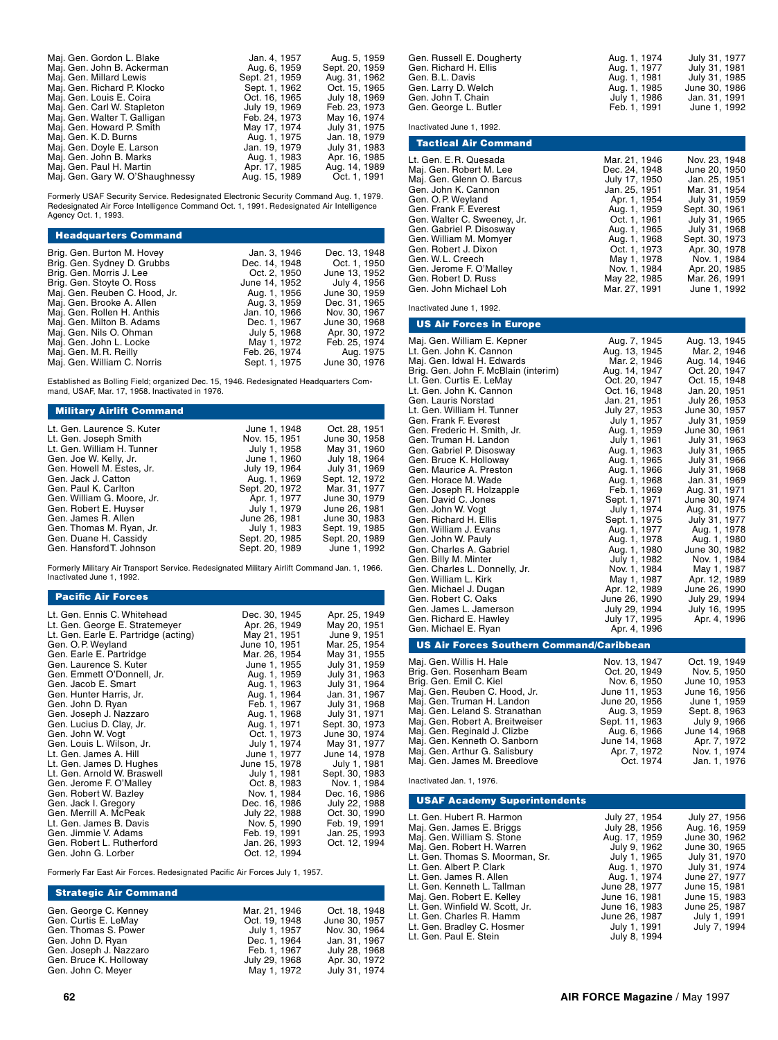| Maj. Gen. Gordon L. Blake       | Jan. 4, 1957   | Aug. 5, 1959   |
|---------------------------------|----------------|----------------|
| Maj. Gen. John B. Ackerman      | Aug. 6, 1959   | Sept. 20, 1959 |
| Maj. Gen. Millard Lewis         | Sept. 21, 1959 | Aug. 31, 1962  |
| Maj. Gen. Richard P. Klocko     | Sept. 1, 1962  | Oct. 15, 1965  |
| Maj. Gen. Louis E. Coira        | Oct. 16, 1965  | July 18, 1969  |
| Maj. Gen. Carl W. Stapleton     | July 19, 1969  | Feb. 23, 1973  |
| Maj. Gen. Walter T. Galligan    | Feb. 24, 1973  | May 16, 1974   |
| Maj. Gen. Howard P. Smith       | May 17, 1974   | July 31, 1975  |
| Maj. Gen. K.D. Burns            | Aug. 1, 1975   | Jan. 18, 1979  |
| Maj. Gen. Doyle E. Larson       | Jan. 19, 1979  | July 31, 1983  |
| Maj. Gen. John B. Marks         | Aug. 1, 1983   | Apr. 16, 1985  |
| Maj. Gen. Paul H. Martin        | Apr. 17, 1985  | Aug. 14, 1989  |
| Maj. Gen. Gary W. O'Shaughnessy | Aug. 15, 1989  | Oct. 1, 1991   |
|                                 |                |                |

Formerly USAF Security Service. Redesignated Electronic Security Command Aug. 1, 1979. Redesignated Air Force Intelligence Command Oct. 1, 1991. Redesignated Air Intelligence Agency Oct. 1, 1993.

| <b>Headquarters Command</b>                                |                               |                                |
|------------------------------------------------------------|-------------------------------|--------------------------------|
| Brig. Gen. Burton M. Hovey<br>Brig. Gen. Sydney D. Grubbs  | Jan. 3, 1946<br>Dec. 14, 1948 | Dec. 13, 1948<br>Oct. 1, 1950  |
| Brig. Gen. Morris J. Lee                                   | Oct. 2, 1950                  | June 13, 1952                  |
| Brig. Gen. Stoyte O. Ross                                  | June 14, 1952                 | July 4, 1956                   |
| Maj. Gen. Reuben C. Hood, Jr.<br>Maj. Gen. Brooke A. Allen | Aug. 1, 1956<br>Aug. 3, 1959  | June 30, 1959<br>Dec. 31, 1965 |
| Maj. Gen. Rollen H. Anthis                                 | Jan. 10, 1966                 | Nov. 30, 1967                  |
| Maj. Gen. Milton B. Adams<br>Maj. Gen. Nils O. Ohman       | Dec. 1, 1967<br>July 5, 1968  | June 30, 1968<br>Apr. 30, 1972 |
| Maj. Gen. John L. Locke                                    | May 1, 1972                   | Feb. 25, 1974                  |
| Maj. Gen. M. R. Reilly                                     | Feb. 26, 1974                 | Aug. 1975                      |
| Maj. Gen. William C. Norris                                | Sept. 1, 1975                 | June 30, 1976                  |

Established as Bolling Field; organized Dec. 15, 1946. Redesignated Headquarters Com-mand, USAF, Mar. 17, 1958. Inactivated in 1976.

# Military Airlift Command Lt. Gen. Laurence S. Kuter June 1, 1948 Oct. 28, 1951

| Lt. Gen. Joseph Smith      | Nov. 15, 1951  | June 30, 1958  |
|----------------------------|----------------|----------------|
| Lt. Gen. William H. Tunner | July 1, 1958   | May 31, 1960   |
| Gen. Joe W. Kelly, Jr.     | June 1, 1960   | July 18, 1964  |
| Gen. Howell M. Estes, Jr.  | July 19, 1964  | July 31, 1969  |
| Gen. Jack J. Catton        | Aug. 1, 1969   | Sept. 12, 1972 |
| Gen. Paul K. Carlton       | Sept. 20, 1972 | Mar. 31, 1977  |
| Gen. William G. Moore, Jr. | Apr. 1, 1977   | June 30, 1979  |
| Gen. Robert E. Huyser      | July 1, 1979   | June 26, 1981  |
| Gen. James R. Allen        | June 26, 1981  | June 30, 1983  |
| Gen. Thomas M. Ryan, Jr.   | July 1, 1983   | Sept. 19, 1985 |
| Gen. Duane H. Cassidy      | Sept. 20, 1985 | Sept. 20, 1989 |
| Gen. Hansford T. Johnson   | Sept. 20, 1989 | June 1, 1992   |
|                            |                |                |

Formerly Military Air Transport Service. Redesignated Military Airlift Command Jan. 1, 1966. Inactivated June 1, 1992.

### Pacific Air Forces

| Lt. Gen. Ennis C. Whitehead          | Dec. 30, 1945 | Apr. 25, 1949  |
|--------------------------------------|---------------|----------------|
| Lt. Gen. George E. Stratemeyer       | Apr. 26, 1949 | May 20, 1951   |
| Lt. Gen. Earle E. Partridge (acting) | May 21, 1951  | June 9, 1951   |
| Gen. O.P. Weyland                    | June 10, 1951 | Mar. 25, 1954  |
| Gen. Earle E. Partridge              | Mar. 26, 1954 | May 31, 1955   |
| Gen. Laurence S. Kuter               | June 1, 1955  | July 31, 1959  |
| Gen. Emmett O'Donnell, Jr.           | Aug. 1, 1959  | July 31, 1963  |
| Gen. Jacob E. Smart                  | Aug. 1, 1963  | July 31, 1964  |
| Gen. Hunter Harris, Jr.              | Aug. 1, 1964  | Jan. 31, 1967  |
| Gen. John D. Ryan                    | Feb. 1, 1967  | July 31, 1968  |
| Gen. Joseph J. Nazzaro               | Aug. 1, 1968  | July 31, 1971  |
| Gen. Lucius D. Clay, Jr.             | Aug. 1, 1971  | Sept. 30, 1973 |
| Gen. John W. Vogt                    | Oct. 1, 1973  | June 30, 1974  |
| Gen. Louis L. Wilson, Jr.            | July 1, 1974  | May 31, 1977   |
| Lt. Gen. James A. Hill               | June 1, 1977  | June 14, 1978  |
| Lt. Gen. James D. Hughes             | June 15, 1978 | July 1, 1981   |
| Lt. Gen. Arnold W. Braswell          | July 1, 1981  | Sept. 30, 1983 |
| Gen. Jerome F. O'Malley              | Oct. 8, 1983  | Nov. 1, 1984   |
| Gen. Robert W. Bazley                | Nov. 1, 1984  | Dec. 16, 1986  |
| Gen. Jack I. Gregory                 | Dec. 16, 1986 | July 22, 1988  |
| Gen. Merrill A. McPeak               | July 22, 1988 | Oct. 30, 1990  |
| Lt. Gen. James B. Davis              | Nov. 5, 1990  | Feb. 19, 1991  |
| Gen. Jimmie V. Adams                 | Feb. 19, 1991 | Jan. 25, 1993  |
| Gen. Robert L. Rutherford            | Jan. 26, 1993 | Oct. 12, 1994  |
| Gen. John G. Lorber                  | Oct. 12, 1994 |                |

Formerly Far East Air Forces. Redesignated Pacific Air Forces July 1, 1957.

#### Strategic Air Command

| Gen. George C. Kenney  | Mar. 21, 1946 | Oct. 18, 1948 |
|------------------------|---------------|---------------|
| Gen. Curtis E. LeMay   | Oct. 19, 1948 | June 30, 1957 |
| Gen. Thomas S. Power   | July 1, 1957  | Nov. 30, 1964 |
| Gen. John D. Ryan      | Dec. 1, 1964  | Jan. 31, 1967 |
| Gen. Joseph J. Nazzaro | Feb. 1, 1967  | July 28, 1968 |
| Gen. Bruce K. Holloway | July 29, 1968 | Apr. 30, 1972 |
| Gen. John C. Meyer     | May 1, 1972   | July 31, 1974 |

Inactivated June 1, 1992.

| <b>Tactical Air Command</b> |               |                |
|-----------------------------|---------------|----------------|
| Lt. Gen. E.R. Quesada       | Mar. 21, 1946 | Nov. 23, 1948  |
| Maj. Gen. Robert M. Lee     | Dec. 24, 1948 | June 20, 1950  |
| Maj. Gen. Glenn O. Barcus   | July 17, 1950 | Jan. 25. 1951  |
| Gen. John K. Cannon         | Jan. 25. 1951 | Mar. 31, 1954  |
| Gen. O.P. Weyland           | Apr. 1, 1954  | July 31, 1959  |
| Gen. Frank F. Everest       | Aug. 1, 1959  | Sept. 30, 1961 |
| Gen. Walter C. Sweeney, Jr. | Oct. 1, 1961  | July 31, 1965  |
| Gen. Gabriel P. Disosway    | Aug. 1, 1965  | July 31, 1968  |
| Gen. William M. Momyer      | Aug. 1, 1968  | Sept. 30, 1973 |
| Gen. Robert J. Dixon        | Oct. 1, 1973  | Apr. 30, 1978  |
| Gen. W.L. Creech            | May 1, 1978   | Nov. 1. 1984   |
| Gen. Jerome F. O'Malley     | Nov. 1, 1984  | Apr. 20, 1985  |
| Gen. Robert D. Russ         | May 22, 1985  | Mar. 26, 1991  |
| Gen. John Michael Loh       | Mar. 27. 1991 | June 1, 1992   |

Inactivated June 1, 1992.

| <b>US Air Forces in Europe</b>                  |                               |                                |
|-------------------------------------------------|-------------------------------|--------------------------------|
| Maj. Gen. William E. Kepner                     | Aug. 7, 1945                  | Aug. 13, 1945                  |
| Lt. Gen. John K. Cannon                         | Aug. 13, 1945                 | Mar. 2, 1946                   |
| Maj. Gen. Idwal H. Edwards                      | Mar. 2, 1946                  | Aug. 14, 1946                  |
| Brig. Gen. John F. McBlain (interim)            | Aug. 14, 1947                 | Oct. 20, 1947                  |
| Lt. Gen. Curtis E. LeMay                        | Oct. 20, 1947                 | Oct. 15, 1948                  |
| Lt. Gen. John K. Cannon                         | Oct. 16, 1948                 | Jan. 20. 1951                  |
| Gen. Lauris Norstad                             | Jan. 21, 1951                 | July 26, 1953                  |
| Lt. Gen. William H. Tunner                      | July 27, 1953                 | June 30, 1957                  |
| Gen. Frank F. Everest                           | July 1, 1957                  | July 31, 1959                  |
| Gen. Frederic H. Smith. Jr.                     | Aug. 1, 1959                  | June 30, 1961                  |
| Gen. Truman H. Landon                           | July 1, 1961                  | July 31, 1963                  |
| Gen. Gabriel P. Disosway                        | Aug. 1, 1963                  | July 31, 1965                  |
| Gen. Bruce K. Holloway                          | Aug. 1, 1965                  | July 31, 1966                  |
| Gen. Maurice A. Preston                         | Aug. 1, 1966                  | July 31, 1968                  |
| Gen. Horace M. Wade                             | Aug. 1, 1968                  | Jan. 31, 1969                  |
| Gen. Joseph R. Holzapple<br>Gen. David C. Jones | Feb. 1, 1969<br>Sept. 1, 1971 | Aug. 31, 1971<br>June 30, 1974 |
| Gen. John W. Vogt                               | July 1, 1974                  | Aug. 31, 1975                  |
| Gen. Richard H. Ellis                           | Sept. 1, 1975                 | July 31, 1977                  |
| Gen. William J. Evans                           | Aug. 1, 1977                  | Aug. 1, 1978                   |
| Gen. John W. Pauly                              | Aug. 1, 1978                  | Aug. 1, 1980                   |
| Gen. Charles A. Gabriel                         | Aug. 1, 1980                  | June 30, 1982                  |
| Gen. Billy M. Minter                            | July 1, 1982                  | Nov. 1, 1984                   |
| Gen. Charles L. Donnelly, Jr.                   | Nov. 1, 1984                  | May 1, 1987                    |
| Gen. William L. Kirk                            | May 1, 1987                   | Apr. 12, 1989                  |
| Gen. Michael J. Dugan                           | Apr. 12, 1989                 | June 26, 1990                  |
| Gen. Robert C. Oaks                             | June 26, 1990                 | July 29, 1994                  |
| Gen. James L. Jamerson                          | July 29, 1994                 | July 16, 1995                  |
| Gen. Richard E. Hawley                          | July 17, 1995                 | Apr. 4, 1996                   |
| Gen. Michael E. Ryan                            | Apr. 4, 1996                  |                                |
| US Air Forces Southern Command/Caribbean        |                               |                                |

| Maj. Gen. Willis H. Hale        | Nov. 13, 1947  | Oct. 19, 1949 |
|---------------------------------|----------------|---------------|
| Brig. Gen. Rosenham Beam        | Oct. 20, 1949  | Nov. 5, 1950  |
| Brig. Gen. Emil C. Kiel         | Nov. 6. 1950   | June 10, 1953 |
| Maj. Gen. Reuben C. Hood, Jr.   | June 11, 1953  | June 16, 1956 |
| Maj. Gen. Truman H. Landon      | June 20, 1956  | June 1, 1959  |
| Maj. Gen. Leland S. Stranathan  | Aug. 3, 1959   | Sept. 8, 1963 |
| Maj. Gen. Robert A. Breitweiser | Sept. 11, 1963 | July 9, 1966  |
| Maj. Gen. Reginald J. Clizbe    | Aug. 6, 1966   | June 14, 1968 |
| Maj. Gen. Kenneth O. Sanborn    | June 14, 1968  | Apr. 7, 1972  |
| Maj. Gen. Arthur G. Salisbury   | Apr. 7, 1972   | Nov. 1, 1974  |
| Maj. Gen. James M. Breedlove    | Oct. 1974      | Jan. 1, 1976  |
|                                 |                |               |

Inactivated Jan. 1, 1976.

## USAF Academy Superintendents

| Lt. Gen. Hubert R. Harmon       | July 27, 1954 | July 27, 1956 |
|---------------------------------|---------------|---------------|
| Maj. Gen. James E. Briggs       | July 28, 1956 | Aug. 16, 1959 |
| Maj. Gen. William S. Stone      | Aug. 17, 1959 | June 30, 1962 |
| Maj. Gen. Robert H. Warren      | July 9, 1962  | June 30, 1965 |
| Lt. Gen. Thomas S. Moorman, Sr. | July 1, 1965  | July 31, 1970 |
| Lt. Gen. Albert P. Clark        | Aug. 1, 1970  | July 31, 1974 |
| Lt. Gen. James R. Allen         | Aug. 1, 1974  | June 27, 1977 |
| Lt. Gen. Kenneth L. Tallman     | June 28, 1977 | June 15, 1981 |
| Maj. Gen. Robert E. Kelley      | June 16, 1981 | June 15, 1983 |
| Lt. Gen. Winfield W. Scott, Jr. | June 16, 1983 | June 25, 1987 |
| Lt. Gen. Charles R. Hamm        | June 26, 1987 | July 1, 1991  |
| Lt. Gen. Bradley C. Hosmer      | July 1, 1991  | July 7, 1994  |
| Lt. Gen. Paul E. Stein          | July 8, 1994  |               |